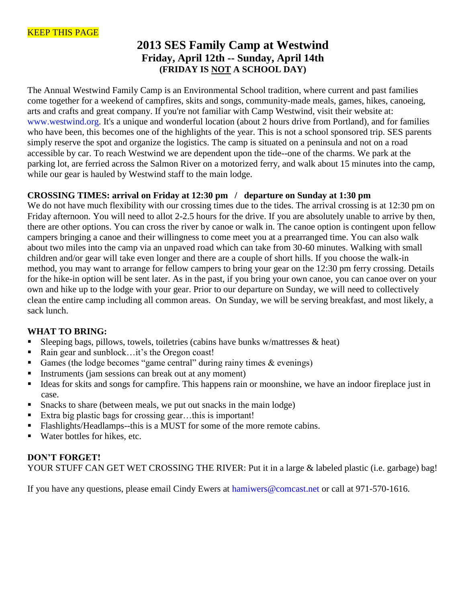# **2013 SES Family Camp at Westwind Friday, April 12th -- Sunday, April 14th (FRIDAY IS NOT A SCHOOL DAY)**

The Annual Westwind Family Camp is an Environmental School tradition, where current and past families come together for a weekend of campfires, skits and songs, community-made meals, games, hikes, canoeing, arts and crafts and great company. If you're not familiar with Camp Westwind, visit their website at: www.westwind.org. It's a unique and wonderful location (about 2 hours drive from Portland), and for families who have been, this becomes one of the highlights of the year. This is not a school sponsored trip. SES parents simply reserve the spot and organize the logistics. The camp is situated on a peninsula and not on a road accessible by car. To reach Westwind we are dependent upon the tide--one of the charms. We park at the parking lot, are ferried across the Salmon River on a motorized ferry, and walk about 15 minutes into the camp, while our gear is hauled by Westwind staff to the main lodge.

# **CROSSING TIMES: arrival on Friday at 12:30 pm / departure on Sunday at 1:30 pm**

We do not have much flexibility with our crossing times due to the tides. The arrival crossing is at 12:30 pm on Friday afternoon. You will need to allot 2-2.5 hours for the drive. If you are absolutely unable to arrive by then, there are other options. You can cross the river by canoe or walk in. The canoe option is contingent upon fellow campers bringing a canoe and their willingness to come meet you at a prearranged time. You can also walk about two miles into the camp via an unpaved road which can take from 30-60 minutes. Walking with small children and/or gear will take even longer and there are a couple of short hills. If you choose the walk-in method, you may want to arrange for fellow campers to bring your gear on the 12:30 pm ferry crossing. Details for the hike-in option will be sent later. As in the past, if you bring your own canoe, you can canoe over on your own and hike up to the lodge with your gear. Prior to our departure on Sunday, we will need to collectively clean the entire camp including all common areas. On Sunday, we will be serving breakfast, and most likely, a sack lunch.

## **WHAT TO BRING:**

- Sleeping bags, pillows, towels, toiletries (cabins have bunks w/mattresses  $\&$  heat)
- Rain gear and sunblock…it's the Oregon coast!
- Games (the lodge becomes "game central" during rainy times  $\&$  evenings)
- Instruments (jam sessions can break out at any moment)
- Ideas for skits and songs for campfire. This happens rain or moonshine, we have an indoor fireplace just in case.
- Snacks to share (between meals, we put out snacks in the main lodge)
- Extra big plastic bags for crossing gear...this is important!
- Flashlights/Headlamps--this is a MUST for some of the more remote cabins.
- Water bottles for hikes, etc.

# **DON'T FORGET!** YOUR STUFF CAN GET WET CROSSING THE RIVER: Put it in a large & labeled plastic (i.e. garbage) bag!

If you have any questions, please email Cindy Ewers at hamiwers@comcast.net or call at 971-570-1616.